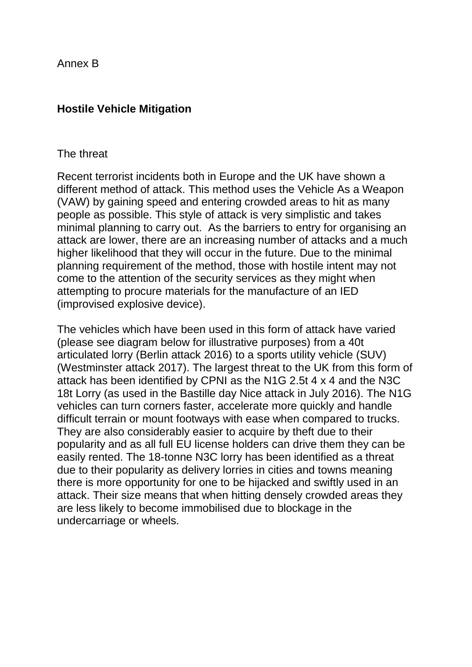Annex B

## **Hostile Vehicle Mitigation**

## The threat

Recent terrorist incidents both in Europe and the UK have shown a different method of attack. This method uses the Vehicle As a Weapon (VAW) by gaining speed and entering crowded areas to hit as many people as possible. This style of attack is very simplistic and takes minimal planning to carry out. As the barriers to entry for organising an attack are lower, there are an increasing number of attacks and a much higher likelihood that they will occur in the future. Due to the minimal planning requirement of the method, those with hostile intent may not come to the attention of the security services as they might when attempting to procure materials for the manufacture of an IED (improvised explosive device).

The vehicles which have been used in this form of attack have varied (please see diagram below for illustrative purposes) from a 40t articulated lorry (Berlin attack 2016) to a sports utility vehicle (SUV) (Westminster attack 2017). The largest threat to the UK from this form of attack has been identified by CPNI as the N1G 2.5t 4 x 4 and the N3C 18t Lorry (as used in the Bastille day Nice attack in July 2016). The N1G vehicles can turn corners faster, accelerate more quickly and handle difficult terrain or mount footways with ease when compared to trucks. They are also considerably easier to acquire by theft due to their popularity and as all full EU license holders can drive them they can be easily rented. The 18-tonne N3C lorry has been identified as a threat due to their popularity as delivery lorries in cities and towns meaning there is more opportunity for one to be hijacked and swiftly used in an attack. Their size means that when hitting densely crowded areas they are less likely to become immobilised due to blockage in the undercarriage or wheels.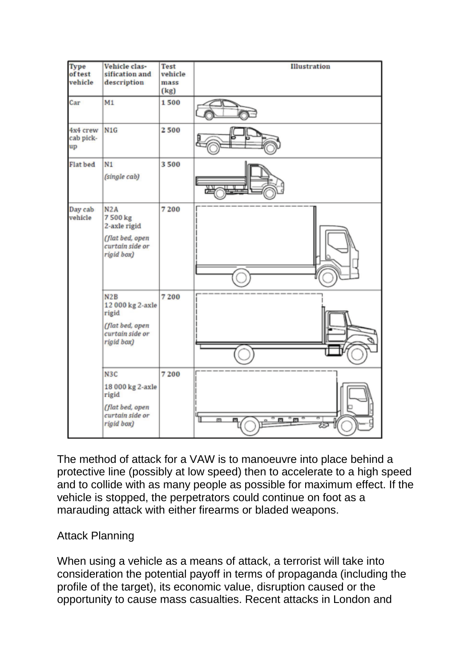

The method of attack for a VAW is to manoeuvre into place behind a protective line (possibly at low speed) then to accelerate to a high speed and to collide with as many people as possible for maximum effect. If the vehicle is stopped, the perpetrators could continue on foot as a marauding attack with either firearms or bladed weapons.

## Attack Planning

When using a vehicle as a means of attack, a terrorist will take into consideration the potential payoff in terms of propaganda (including the profile of the target), its economic value, disruption caused or the opportunity to cause mass casualties. Recent attacks in London and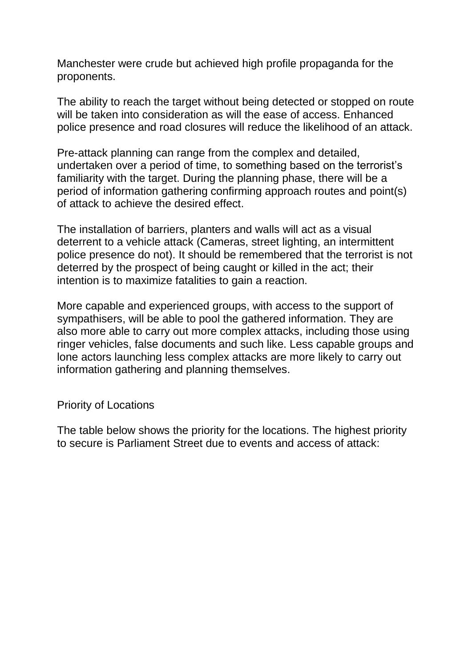Manchester were crude but achieved high profile propaganda for the proponents.

The ability to reach the target without being detected or stopped on route will be taken into consideration as will the ease of access. Enhanced police presence and road closures will reduce the likelihood of an attack.

Pre-attack planning can range from the complex and detailed, undertaken over a period of time, to something based on the terrorist's familiarity with the target. During the planning phase, there will be a period of information gathering confirming approach routes and point(s) of attack to achieve the desired effect.

The installation of barriers, planters and walls will act as a visual deterrent to a vehicle attack (Cameras, street lighting, an intermittent police presence do not). It should be remembered that the terrorist is not deterred by the prospect of being caught or killed in the act; their intention is to maximize fatalities to gain a reaction.

More capable and experienced groups, with access to the support of sympathisers, will be able to pool the gathered information. They are also more able to carry out more complex attacks, including those using ringer vehicles, false documents and such like. Less capable groups and lone actors launching less complex attacks are more likely to carry out information gathering and planning themselves.

Priority of Locations

The table below shows the priority for the locations. The highest priority to secure is Parliament Street due to events and access of attack: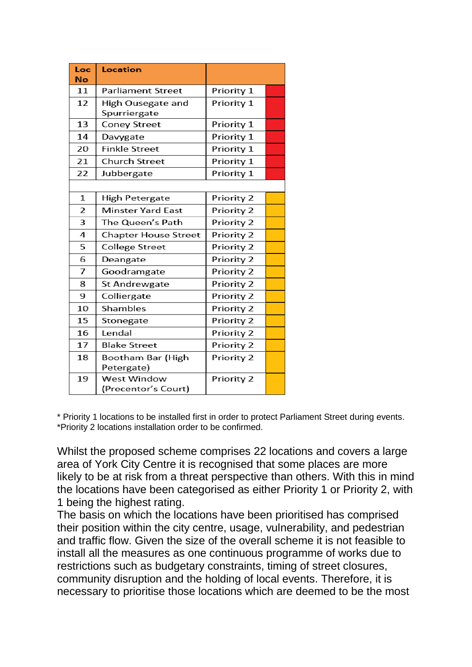| Loc<br>No      | Location                                  |            |  |
|----------------|-------------------------------------------|------------|--|
| 11             | <b>Parliament Street</b>                  | Priority 1 |  |
| 12             | High Ousegate and<br>Spurriergate         | Priority 1 |  |
| 13             | <b>Coney Street</b>                       | Priority 1 |  |
| 14             | Davygate                                  | Priority 1 |  |
| 20             | <b>Finkle Street</b>                      | Priority 1 |  |
| 21             | <b>Church Street</b>                      | Priority 1 |  |
| 22             | Jubbergate                                | Priority 1 |  |
|                |                                           |            |  |
| 1              | High Petergate                            | Priority 2 |  |
| $\overline{2}$ | <b>Minster Yard East</b>                  | Priority 2 |  |
| 3              | The Queen's Path                          | Priority 2 |  |
| 4              | <b>Chapter House Street</b>               | Priority 2 |  |
| 5              | <b>College Street</b>                     | Priority 2 |  |
| 6              | Deangate                                  | Priority 2 |  |
| 7              | Goodramgate                               | Priority 2 |  |
| 8              | St Andrewgate                             | Priority 2 |  |
| 9              | Colliergate                               | Priority 2 |  |
| 10             | Shambles                                  | Priority 2 |  |
| 15             | Stonegate                                 | Priority 2 |  |
| 16             | Lendal                                    | Priority 2 |  |
| 17             | <b>Blake Street</b>                       | Priority 2 |  |
| 18             | Bootham Bar (High<br>Petergate)           | Priority 2 |  |
| 19             | <b>West Window</b><br>(Precentor's Court) | Priority 2 |  |

\* Priority 1 locations to be installed first in order to protect Parliament Street during events. \*Priority 2 locations installation order to be confirmed.

Whilst the proposed scheme comprises 22 locations and covers a large area of York City Centre it is recognised that some places are more likely to be at risk from a threat perspective than others. With this in mind the locations have been categorised as either Priority 1 or Priority 2, with 1 being the highest rating.

The basis on which the locations have been prioritised has comprised their position within the city centre, usage, vulnerability, and pedestrian and traffic flow. Given the size of the overall scheme it is not feasible to install all the measures as one continuous programme of works due to restrictions such as budgetary constraints, timing of street closures, community disruption and the holding of local events. Therefore, it is necessary to prioritise those locations which are deemed to be the most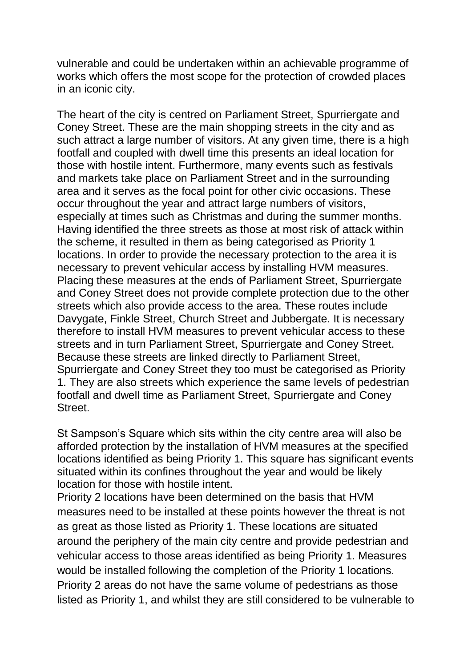vulnerable and could be undertaken within an achievable programme of works which offers the most scope for the protection of crowded places in an iconic city.

The heart of the city is centred on Parliament Street, Spurriergate and Coney Street. These are the main shopping streets in the city and as such attract a large number of visitors. At any given time, there is a high footfall and coupled with dwell time this presents an ideal location for those with hostile intent. Furthermore, many events such as festivals and markets take place on Parliament Street and in the surrounding area and it serves as the focal point for other civic occasions. These occur throughout the year and attract large numbers of visitors, especially at times such as Christmas and during the summer months. Having identified the three streets as those at most risk of attack within the scheme, it resulted in them as being categorised as Priority 1 locations. In order to provide the necessary protection to the area it is necessary to prevent vehicular access by installing HVM measures. Placing these measures at the ends of Parliament Street, Spurriergate and Coney Street does not provide complete protection due to the other streets which also provide access to the area. These routes include Davygate, Finkle Street, Church Street and Jubbergate. It is necessary therefore to install HVM measures to prevent vehicular access to these streets and in turn Parliament Street, Spurriergate and Coney Street. Because these streets are linked directly to Parliament Street, Spurriergate and Coney Street they too must be categorised as Priority 1. They are also streets which experience the same levels of pedestrian footfall and dwell time as Parliament Street, Spurriergate and Coney Street.

St Sampson's Square which sits within the city centre area will also be afforded protection by the installation of HVM measures at the specified locations identified as being Priority 1. This square has significant events situated within its confines throughout the year and would be likely location for those with hostile intent.

Priority 2 locations have been determined on the basis that HVM measures need to be installed at these points however the threat is not as great as those listed as Priority 1. These locations are situated around the periphery of the main city centre and provide pedestrian and vehicular access to those areas identified as being Priority 1. Measures would be installed following the completion of the Priority 1 locations. Priority 2 areas do not have the same volume of pedestrians as those listed as Priority 1, and whilst they are still considered to be vulnerable to